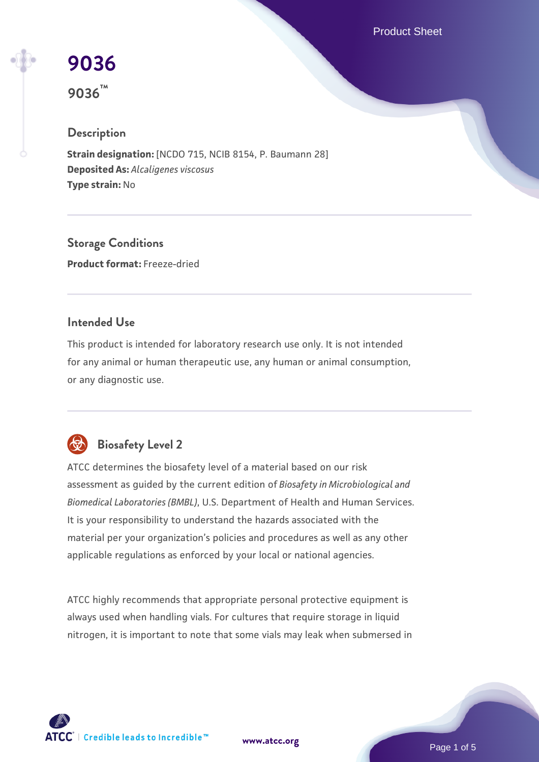Product Sheet

# **[9036](https://www.atcc.org/products/9036)**

**9036™**

# **Description**

**Strain designation:** [NCDO 715, NCIB 8154, P. Baumann 28] **Deposited As:** *Alcaligenes viscosus* **Type strain:** No

**Storage Conditions Product format:** Freeze-dried

## **Intended Use**

This product is intended for laboratory research use only. It is not intended for any animal or human therapeutic use, any human or animal consumption, or any diagnostic use.



# **Biosafety Level 2**

ATCC determines the biosafety level of a material based on our risk assessment as guided by the current edition of *Biosafety in Microbiological and Biomedical Laboratories (BMBL)*, U.S. Department of Health and Human Services. It is your responsibility to understand the hazards associated with the material per your organization's policies and procedures as well as any other applicable regulations as enforced by your local or national agencies.

ATCC highly recommends that appropriate personal protective equipment is always used when handling vials. For cultures that require storage in liquid nitrogen, it is important to note that some vials may leak when submersed in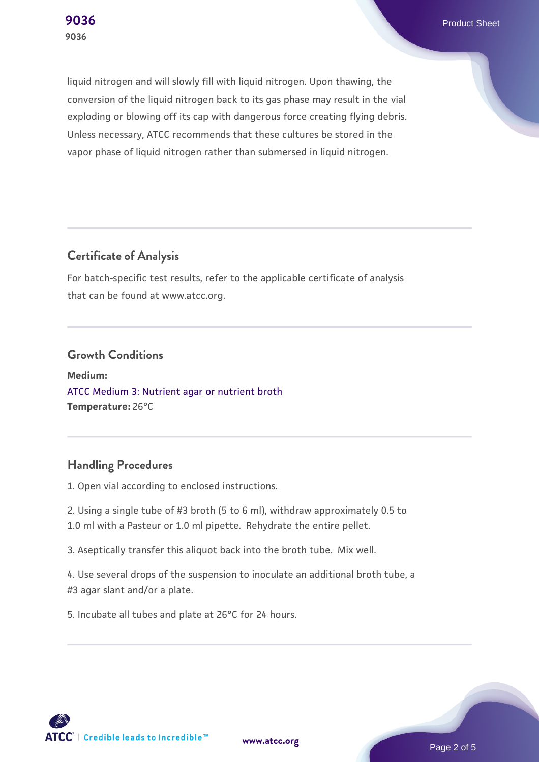**[9036](https://www.atcc.org/products/9036)** Product Sheet

liquid nitrogen and will slowly fill with liquid nitrogen. Upon thawing, the conversion of the liquid nitrogen back to its gas phase may result in the vial exploding or blowing off its cap with dangerous force creating flying debris. Unless necessary, ATCC recommends that these cultures be stored in the vapor phase of liquid nitrogen rather than submersed in liquid nitrogen.

## **Certificate of Analysis**

For batch-specific test results, refer to the applicable certificate of analysis that can be found at www.atcc.org.

#### **Growth Conditions**

**Medium:**  [ATCC Medium 3: Nutrient agar or nutrient broth](https://www.atcc.org/-/media/product-assets/documents/microbial-media-formulations/3/atcc-medium-3.pdf?rev=7510837507e64d849c62a46b5b2197a1) **Temperature:** 26°C

## **Handling Procedures**

1. Open vial according to enclosed instructions.

2. Using a single tube of #3 broth (5 to 6 ml), withdraw approximately 0.5 to 1.0 ml with a Pasteur or 1.0 ml pipette. Rehydrate the entire pellet.

3. Aseptically transfer this aliquot back into the broth tube. Mix well.

4. Use several drops of the suspension to inoculate an additional broth tube, a #3 agar slant and/or a plate.

5. Incubate all tubes and plate at 26°C for 24 hours.

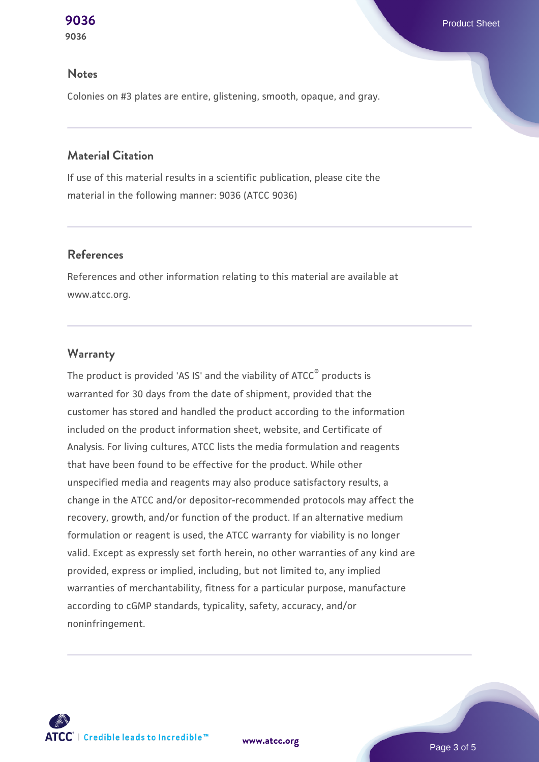#### **Notes**

Colonies on #3 plates are entire, glistening, smooth, opaque, and gray.

## **Material Citation**

If use of this material results in a scientific publication, please cite the material in the following manner: 9036 (ATCC 9036)

## **References**

References and other information relating to this material are available at www.atcc.org.

## **Warranty**

The product is provided 'AS IS' and the viability of ATCC® products is warranted for 30 days from the date of shipment, provided that the customer has stored and handled the product according to the information included on the product information sheet, website, and Certificate of Analysis. For living cultures, ATCC lists the media formulation and reagents that have been found to be effective for the product. While other unspecified media and reagents may also produce satisfactory results, a change in the ATCC and/or depositor-recommended protocols may affect the recovery, growth, and/or function of the product. If an alternative medium formulation or reagent is used, the ATCC warranty for viability is no longer valid. Except as expressly set forth herein, no other warranties of any kind are provided, express or implied, including, but not limited to, any implied warranties of merchantability, fitness for a particular purpose, manufacture according to cGMP standards, typicality, safety, accuracy, and/or noninfringement.



**[www.atcc.org](http://www.atcc.org)**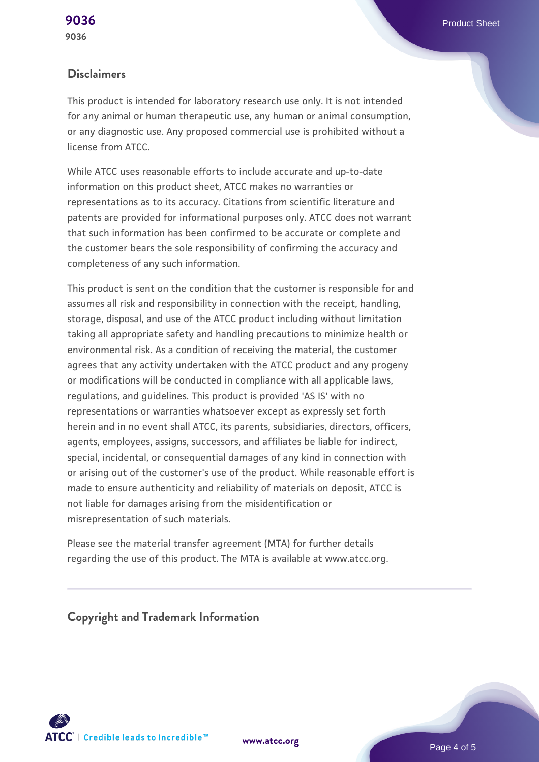## **Disclaimers**

This product is intended for laboratory research use only. It is not intended for any animal or human therapeutic use, any human or animal consumption, or any diagnostic use. Any proposed commercial use is prohibited without a license from ATCC.

While ATCC uses reasonable efforts to include accurate and up-to-date information on this product sheet, ATCC makes no warranties or representations as to its accuracy. Citations from scientific literature and patents are provided for informational purposes only. ATCC does not warrant that such information has been confirmed to be accurate or complete and the customer bears the sole responsibility of confirming the accuracy and completeness of any such information.

This product is sent on the condition that the customer is responsible for and assumes all risk and responsibility in connection with the receipt, handling, storage, disposal, and use of the ATCC product including without limitation taking all appropriate safety and handling precautions to minimize health or environmental risk. As a condition of receiving the material, the customer agrees that any activity undertaken with the ATCC product and any progeny or modifications will be conducted in compliance with all applicable laws, regulations, and guidelines. This product is provided 'AS IS' with no representations or warranties whatsoever except as expressly set forth herein and in no event shall ATCC, its parents, subsidiaries, directors, officers, agents, employees, assigns, successors, and affiliates be liable for indirect, special, incidental, or consequential damages of any kind in connection with or arising out of the customer's use of the product. While reasonable effort is made to ensure authenticity and reliability of materials on deposit, ATCC is not liable for damages arising from the misidentification or misrepresentation of such materials.

Please see the material transfer agreement (MTA) for further details regarding the use of this product. The MTA is available at www.atcc.org.

**Copyright and Trademark Information**





Page 4 of 5